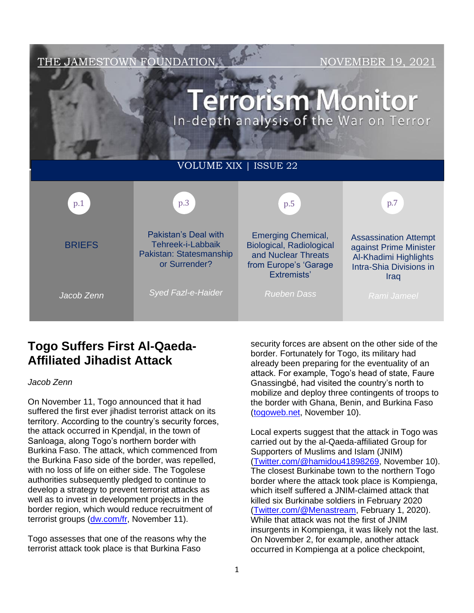

# **Togo Suffers First Al-Qaeda-Affiliated Jihadist Attack**

## *Jacob Zenn*

On November 11, Togo announced that it had suffered the first ever jihadist terrorist attack on its territory. According to the country's security forces, the attack occurred in Kpendjal, in the town of Sanloaga, along Togo's northern border with Burkina Faso. The attack, which commenced from the Burkina Faso side of the border, was repelled, with no loss of life on either side. The Togolese authorities subsequently pledged to continue to develop a strategy to prevent terrorist attacks as well as to invest in development projects in the border region, which would reduce recruitment of terrorist groups [\(dw.com/fr,](https://www.dw.com/fr/togo-lutte-contre-le-terrorisme-attaque/a-59796372) November 11).

Togo assesses that one of the reasons why the terrorist attack took place is that Burkina Faso

security forces are absent on the other side of the border. Fortunately for Togo, its military had already been preparing for the eventuality of an attack. For example, Togo's head of state, Faure Gnassingbé, had visited the country's north to mobilize and deploy three contingents of troops to the border with Ghana, Benin, and Burkina Faso [\(togoweb.net,](https://togoweb.net/urgent-togo-attaque-terroriste-a-kpendjal/) November 10).

Local experts suggest that the attack in Togo was carried out by the al-Qaeda-affiliated Group for Supporters of Muslims and Islam (JNIM) [\(Twitter.com/@hamidou41898269,](https://twitter.com/Hamidou41898269/status/1458446425675780099) November 10). The closest Burkinabe town to the northern Togo border where the attack took place is Kompienga, which itself suffered a JNIM-claimed attack that killed six Burkinabe soldiers in February 2020 [\(Twitter.com/@Menastream,](https://twitter.com/MENASTREAM/status/1223295902670082050) February 1, 2020). While that attack was not the first of JNIM insurgents in Kompienga, it was likely not the last. On November 2, for example, another attack occurred in Kompienga at a police checkpoint,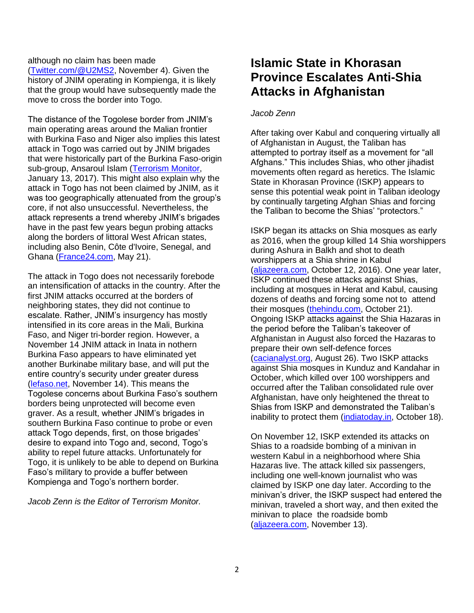although no claim has been made [\(Twitter.com/@U2MS2,](https://twitter.com/U2MS2/status/1456140956143693825) November 4). Given the history of JNIM operating in Kompienga, it is likely that the group would have subsequently made the move to cross the border into Togo.

The distance of the Togolese border from JNIM's main operating areas around the Malian frontier with Burkina Faso and Niger also implies this latest attack in Togo was carried out by JNIM brigades that were historically part of the Burkina Faso-origin sub-group, Ansaroul Islam [\(Terrorism Monitor,](https://jamestown.org/program/al-qaeda-will-benefit-islamic-states-greater-sahara-province/) January 13, 2017). This might also explain why the attack in Togo has not been claimed by JNIM, as it was too geographically attenuated from the group's core, if not also unsuccessful. Nevertheless, the attack represents a trend whereby JNIM's brigades have in the past few years begun probing attacks along the borders of littoral West African states, including also Benin, Côte d'Ivoire, Senegal, and Ghana [\(France24.com,](https://www.france24.com/en/tv-shows/the-interview/20210521-ghanaian-president-nana-akufo-addo-jihadism-is-an-immediate-threat-for-western-africa) May 21).

The attack in Togo does not necessarily forebode an intensification of attacks in the country. After the first JNIM attacks occurred at the borders of neighboring states, they did not continue to escalate. Rather, JNIM's insurgency has mostly intensified in its core areas in the Mali, Burkina Faso, and Niger tri-border region. However, a November 14 JNIM attack in Inata in nothern Burkina Faso appears to have eliminated yet another Burkinabe military base, and will put the entire country's security under greater duress [\(lefaso.net,](https://lefaso.net/spip.php?article109033) November 14). This means the Togolese concerns about Burkina Faso's southern borders being unprotected will become even graver. As a result, whether JNIM's brigades in southern Burkina Faso continue to probe or even attack Togo depends, first, on those brigades' desire to expand into Togo and, second, Togo's ability to repel future attacks. Unfortunately for Togo, it is unlikely to be able to depend on Burkina Faso's military to provide a buffer between Kompienga and Togo's northern border.

*Jacob Zenn is the Editor of Terrorism Monitor.*

# **Islamic State in Khorasan Province Escalates Anti-Shia Attacks in Afghanistan**

### *Jacob Zenn*

After taking over Kabul and conquering virtually all of Afghanistan in August, the Taliban has attempted to portray itself as a movement for "all Afghans." This includes Shias, who other jihadist movements often regard as heretics. The Islamic State in Khorasan Province (ISKP) appears to sense this potential weak point in Taliban ideology by continually targeting Afghan Shias and forcing the Taliban to become the Shias' "protectors."

ISKP began its attacks on Shia mosques as early as 2016, when the group killed 14 Shia worshippers during Ashura in Balkh and shot to death worshippers at a Shia shrine in Kabul [\(aljazeera.com,](https://www.aljazeera.com/news/2016/10/12/afghanistan-new-attack-kills-14-worshippers-at-mosque) October 12, 2016). One year later, ISKP continued these attacks against Shias, including at mosques in Herat and Kabul, causing dozens of deaths and forcing some not to attend their mosques [\(thehindu.com,](https://www.thehindu.com/news/international/over-60-killed-as-suicide-bombings-hit-mosques-in-afghanistan/article19891048.ece) October 21). Ongoing ISKP attacks against the Shia Hazaras in the period before the Taliban's takeover of Afghanistan in August also forced the Hazaras to prepare their own self-defence forces [\(cacianalyst.org,](http://www.cacianalyst.org/publications/analytical-articles/item/13681-afghan-hazaras-organize-to-defend-themselves.html) August 26). Two ISKP attacks against Shia mosques in Kunduz and Kandahar in October, which killed over 100 worshippers and occurred after the Taliban consolidated rule over Afghanistan, have only heightened the threat to Shias from ISKP and demonstrated the Taliban's inability to protect them [\(indiatoday.in,](https://www.indiatoday.in/world/story/shia-muslims-islamic-state-is-khorasan-afghanistan-1865984-2021-10-18) October 18).

On November 12, ISKP extended its attacks on Shias to a roadside bombing of a minivan in western Kabul in a neighborhood where Shia Hazaras live. The attack killed six passengers, including one well-known journalist who was claimed by ISKP one day later. According to the minivan's driver, the ISKP suspect had entered the minivan, traveled a short way, and then exited the minivan to place the roadside bomb [\(aljazeera.com,](https://www.aljazeera.com/news/2021/11/13/afghanistan-deadly-explosion-hits-mainly-shia-suburb-of-kabul) November 13).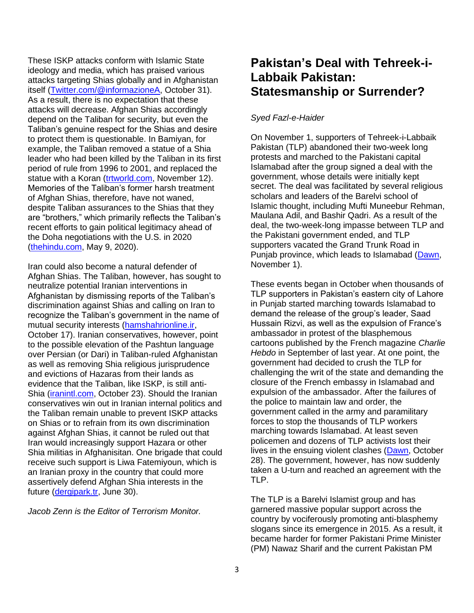These ISKP attacks conform with Islamic State ideology and media, which has praised various attacks targeting Shias globally and in Afghanistan itself [\(Twitter.com/@informazioneA,](https://twitter.com/InformazioneA/status/1454568798288183297) October 31). As a result, there is no expectation that these attacks will decrease. Afghan Shias accordingly depend on the Taliban for security, but even the Taliban's genuine respect for the Shias and desire to protect them is questionable. In Bamiyan, for example, the Taliban removed a statue of a Shia leader who had been killed by the Taliban in its first period of rule from 1996 to 2001, and replaced the statue with a Koran [\(trtworld.com,](https://www.trtworld.com/asia/taliban-replace-statue-of-hazara-leader-with-replica-of-quran-51551) November 12). Memories of the Taliban's former harsh treatment of Afghan Shias, therefore, have not waned, despite Taliban assurances to the Shias that they are "brothers," which primarily reflects the Taliban's recent efforts to gain political legitimacy ahead of the Doha negotiations with the U.S. in 2020 [\(thehindu.com,](https://www.thehindu.com/news/international/taliban-reaches-out-to-shias/article31545562.ece) May 9, 2020).

Iran could also become a natural defender of Afghan Shias. The Taliban, however, has sought to neutralize potential Iranian interventions in Afghanistan by dismissing reports of the Taliban's discrimination against Shias and calling on Iran to recognize the Taliban's government in the name of mutual security interests [\(hamshahrionline.ir,](https://www.hamshahrionline.ir/news/632595/%D8%B3%D8%AE%D9%86%DA%AF%D9%88%DB%8C-%D8%B7%D8%A7%D9%84%D8%A8%D8%A7%D9%86-%D9%85%DB%8C-%D8%AE%D9%88%D8%A7%D9%87%DB%8C%D9%85-%D8%A8%D8%A7-%D8%AC%D9%85%D9%87%D9%88%D8%B1%DB%8C-%D8%A7%D8%B3%D9%84%D8%A7%D9%85%DB%8C-%25D) October 17). Iranian conservatives, however, point to the possible elevation of the Pashtun language over Persian (or Dari) in Taliban-ruled Afghanistan as well as removing Shia religious jurisprudence and evictions of Hazaras from their lands as evidence that the Taliban, like ISKP, is still anti-Shia [\(iranintl.com,](https://www.iranintl.com/en/20211023942076) October 23). Should the Iranian conservatives win out in Iranian internal politics and the Taliban remain unable to prevent ISKP attacks on Shias or to refrain from its own discrimination against Afghan Shias, it cannot be ruled out that Iran would increasingly support Hazara or other Shia militias in Afghanisitan. One brigade that could receive such support is Liwa Fatemiyoun, which is an Iranian proxy in the country that could more assertively defend Afghan Shia interests in the future [\(dergipark.tr,](https://dergipark.org.tr/en/download/article-file/1576912) June 30).

*Jacob Zenn is the Editor of Terrorism Monitor.*

# **Pakistan's Deal with Tehreek-i-Labbaik Pakistan: Statesmanship or Surrender?**

## *Syed Fazl-e-Haider*

On November 1, supporters of Tehreek-i-Labbaik Pakistan (TLP) abandoned their two-week long protests and marched to the Pakistani capital Islamabad after the group signed a deal with the government, whose details were initially kept secret. The deal was facilitated by several religious scholars and leaders of the Barelvi school of Islamic thought, including Mufti Muneebur Rehman, Maulana Adil, and Bashir Qadri. As a result of the deal, the two-week-long impasse between TLP and the Pakistani government ended, and TLP supporters vacated the Grand Trunk Road in Punjab province, which leads to Islamabad [\(Dawn,](https://www.dawn.com/news/1655323/tlp-protesters-clear-gt-road-to-continue-sit-in-at-wazirabad-until-saad-rizvis-release) November 1).

These events began in October when thousands of TLP supporters in Pakistan's eastern city of Lahore in Punjab started marching towards Islamabad to demand the release of the group's leader, Saad Hussain Rizvi, as well as the expulsion of France's ambassador in protest of the blasphemous cartoons published by the French magazine *Charlie Hebdo* in September of last year. At one point, the government had decided to crush the TLP for challenging the writ of the state and demanding the closure of the French embassy in Islamabad and expulsion of the ambassador. After the failures of the police to maintain law and order, the government called in the army and paramilitary forces to stop the thousands of TLP workers marching towards Islamabad. At least seven policemen and dozens of TLP activists lost their lives in the ensuing violent clashes [\(Dawn,](https://www.dawn.com/news/1654441/govt-decides-to-treat-tlp-as-militant-outfit) October 28). The government, however, has now suddenly taken a U-turn and reached an agreement with the TLP.

The TLP is a Barelvi Islamist group and has garnered massive popular support across the country by vociferously promoting anti-blasphemy slogans since its emergence in 2015. As a result, it became harder for former Pakistani Prime Minister (PM) Nawaz Sharif and the current Pakistan PM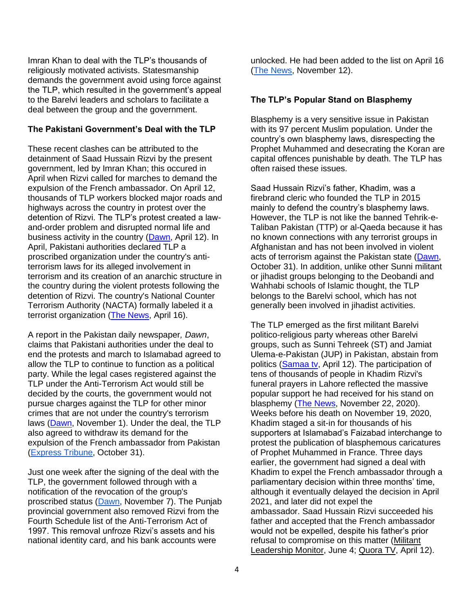Imran Khan to deal with the TLP's thousands of religiously motivated activists. Statesmanship demands the government avoid using force against the TLP, which resulted in the government's appeal to the Barelvi leaders and scholars to facilitate a deal between the group and the government.

#### **The Pakistani Government's Deal with the TLP**

These recent clashes can be attributed to the detainment of Saad Hussain Rizvi by the present government, led by Imran Khan; this occured in April when Rizvi called for marches to demand the expulsion of the French ambassador. On April 12, thousands of TLP workers blocked major roads and highways across the country in protest over the detention of Rizvi. The TLP's protest created a lawand-order problem and disrupted normal life and business activity in the country [\(Dawn,](https://www.dawn.com/news/1617837) April 12). In April, Pakistani authorities declared TLP a proscribed organization under the country's antiterrorism laws for its alleged involvement in terrorism and its creation of an anarchic structure in the country during the violent protests following the detention of Rizvi. The country's National Counter Terrorism Authority (NACTA) formally labeled it a terrorist organization [\(The News,](https://www.thenews.com.pk/print/820706-tlp-officially-banned-slug-no-room-for-armed-groups-pm) April 16).

A report in the Pakistan daily newspaper*, Dawn*, claims that Pakistani authorities under the deal to end the protests and march to Islamabad agreed to allow the TLP to continue to function as a political party. While the legal cases registered against the TLP under the Anti-Terrorism Act would still be decided by the courts, the government would not pursue charges against the TLP for other minor crimes that are not under the country's terrorism laws [\(Dawn,](https://www.dawn.com/news/1655200/government-tlp-ink-deal-to-end-impasse) November 1). Under the deal, the TLP also agreed to withdraw its demand for the expulsion of the French ambassador from Pakistan [\(Express Tribune,](https://tribune.com.pk/story/2327181/agreement-reached-with-tlp-says-govt-1) October 31).

Just one week after the signing of the deal with the TLP, the government followed through with a notification of the revocation of the group's proscribed status [\(Dawn,](https://www.dawn.com/news/1656594/govt-revokes-tlps-proscribed-status) November 7). The Punjab provincial government also removed Rizvi from the Fourth Schedule list of the Anti-Terrorism Act of 1997. This removal unfroze Rizvi's assets and his national identity card, and his bank accounts were

unlocked. He had been added to the list on April 16 [\(The News,](https://www.thenews.com.pk/print/907934-tlp-s-rizvi-487-others-no-longer-on-fourth-schedule) November 12).

#### **The TLP's Popular Stand on Blasphemy**

Blasphemy is a very sensitive issue in Pakistan with its 97 percent Muslim population. Under the country's own blasphemy laws, disrespecting the Prophet Muhammed and desecrating the Koran are capital offences punishable by death. The TLP has often raised these issues.

Saad Hussain Rizvi's father, Khadim, was a firebrand cleric who founded the TLP in 2015 mainly to defend the country's blasphemy laws. However, the TLP is not like the banned Tehrik-e-Taliban Pakistan (TTP) or al-Qaeda because it has no known connections with any terrorist groups in Afghanistan and has not been involved in violent acts of terrorism against the Pakistan state [\(Dawn,](https://www.dawn.com/news/1655041/a-project-gone-awry) October 31). In addition, unlike other Sunni militant or jihadist groups belonging to the Deobandi and Wahhabi schools of Islamic thought, the TLP belongs to the Barelvi school, which has not generally been involved in jihadist activities.

The TLP emerged as the first militant Barelvi politico-religious party whereas other Barelvi groups, such as Sunni Tehreek (ST) and Jamiat Ulema-e-Pakistan (JUP) in Pakistan, abstain from politics [\(Samaa tv,](https://www.samaa.tv/news/2021/04/lahore-police-arrest-tlp-chief-saad-hussain-rizvi/) April 12). The participation of tens of thousands of people in Khadim Rizvi's funeral prayers in Lahore reflected the massive popular support he had received for his stand on blasphemy [\(The News,](https://www.thenews.com.pk/print/747386-khadim-rizvi-s-funeral-one-of-biggest-in-lahore-s-history) November 22, 2020). Weeks before his death on November 19, 2020, Khadim staged a sit-in for thousands of his supporters at Islamabad's Faizabad interchange to protest the publication of blasphemous caricatures of Prophet Muhammed in France. Three days earlier, the government had signed a deal with Khadim to expel the French ambassador through a parliamentary decision within three months' time, although it eventually delayed the decision in April 2021, and later did not expel the ambassador. Saad Hussain Rizvi succeeded his father and accepted that the French ambassador would not be expelled, despite his father's prior refusal to compromise on this matter (Militant [Leadership Monitor,](https://jamestown.org/program/creating-anarchy-in-the-country-the-tlps-new-challenges-under-saad-hussain-rizvi/) June 4; [Quora TV,](https://www.quoratv.com/2021/04/saad-hussain-rizvi-arrested-head-of-tlp.html?m=1) April 12).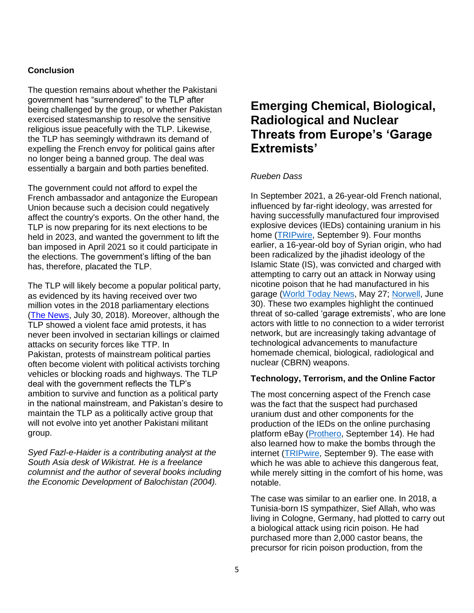## **Conclusion**

The question remains about whether the Pakistani government has "surrendered" to the TLP after being challenged by the group, or whether Pakistan exercised statesmanship to resolve the sensitive religious issue peacefully with the TLP. Likewise, the TLP has seemingly withdrawn its demand of expelling the French envoy for political gains after no longer being a banned group. The deal was essentially a bargain and both parties benefited.

The government could not afford to expel the French ambassador and antagonize the European Union because such a decision could negatively affect the country's exports. On the other hand, the TLP is now preparing for its next elections to be held in 2023, and wanted the government to lift the ban imposed in April 2021 so it could participate in the elections. The government's lifting of the ban has, therefore, placated the TLP.

The TLP will likely become a popular political party, as evidenced by its having received over two million votes in the 2018 parliamentary elections [\(The News,](https://www.thenews.com.pk/print/348044-tlp-inflicts-loss-to-pml-n-in-13-constituencies) July 30, 2018). Moreover, although the TLP showed a violent face amid protests, it has never been involved in sectarian killings or claimed attacks on security forces like TTP. In Pakistan, protests of mainstream political parties often become violent with political activists torching vehicles or blocking roads and highways. The TLP deal with the government reflects the TLP's ambition to survive and function as a political party in the national mainstream, and Pakistan's desire to maintain the TLP as a politically active group that will not evolve into yet another Pakistani militant group.

*Syed Fazl-e-Haider is a contributing analyst at the South Asia desk of Wikistrat. He is a freelance columnist and the author of several books including the Economic Development of Balochistan (2004).*

# **Emerging Chemical, Biological, Radiological and Nuclear Threats from Europe's 'Garage Extremists'**

#### *Rueben Dass*

In September 2021, a 26-year-old French national, influenced by far-right ideology, was arrested for having successfully manufactured four improvised explosive devices (IEDs) containing uranium in his home [\(TRIPwire,](https://tripwire.dhs.gov/news/264830) September 9). Four months earlier, a 16-year-old boy of Syrian origin, who had been radicalized by the jihadist ideology of the Islamic State (IS), was convicted and charged with attempting to carry out an attack in Norway using nicotine poison that he had manufactured in his garage [\(World Today News,](https://www.world-today-news.com/terror-case-with-16-year-old-16-year-old-terror-suspect/) May 27; [Norwell,](https://www.thelocal.no/20210630/16-year-old-jailed-over-terror-attack-plot-in-norway/) June 30). These two examples highlight the continued threat of so-called 'garage extremists', who are lone actors with little to no connection to a wider terrorist network, but are increasingly taking advantage of technological advancements to manufacture homemade chemical, biological, radiological and nuclear (CBRN) weapons.

#### **Technology, Terrorism, and the Online Factor**

The most concerning aspect of the French case was the fact that the suspect had purchased uranium dust and other components for the production of the IEDs on the online purchasing platform eBay [\(Prothero,](https://www.vice.com/en/article/xgxjxd/neo-nazi-and-kkk-fanboy-built-pipe-bombs-with-uranium-from-ebay) September 14). He had also learned how to make the bombs through the internet [\(TRIPwire,](https://tripwire.dhs.gov/news/264830) September 9). The ease with which he was able to achieve this dangerous feat, while merely sitting in the comfort of his home, was notable.

The case was similar to an earlier one. In 2018, a Tunisia-born IS sympathizer, Sief Allah, who was living in Cologne, Germany, had plotted to carry out a biological attack using ricin poison. He had purchased more than 2,000 castor beans, the precursor for ricin poison production, from the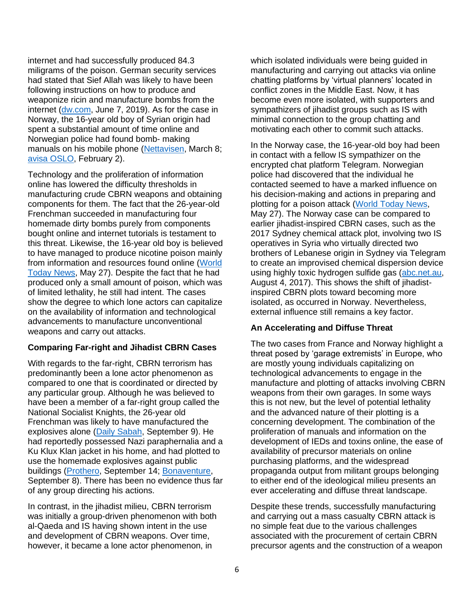internet and had successfully produced 84.3 miligrams of the poison. German security services had stated that Sief Allah was likely to have been following instructions on how to produce and weaponize ricin and manufacture bombs from the internet [\(dw.com,](https://www.dw.com/en/ricin-attack-plot-trial-starts-for-tunisian-german-couple/a-49097871) June 7, 2019). As for the case in Norway, the 16-year old boy of Syrian origin had spent a substantial amount of time online and Norwegian police had found bomb- making manuals on his mobile phone [\(Nettavisen,](https://www.nettavisen.no/nyheter/pst-fant-bruksanvisning-for-a-lage-bombe-pa-mobilen-til-terrorsiktet-16-aring/s/12-95-3424098980) March 8; [avisa OSLO,](https://www.ao.no/terrorsiktet-16-aring-ville-ta-livet-av-vantro/s/5-128-41431) February 2).

Technology and the proliferation of information online has lowered the difficulty thresholds in manufacturing crude CBRN weapons and obtaining components for them. The fact that the 26-year-old Frenchman succeeded in manufacturing four homemade dirty bombs purely from components bought online and internet tutorials is testament to this threat. Likewise, the 16-year old boy is believed to have managed to produce nicotine poison mainly from information and resources found online [\(World](https://www.world-today-news.com/terror-case-with-16-year-old-16-year-old-terror-suspect/)  [Today News,](https://www.world-today-news.com/terror-case-with-16-year-old-16-year-old-terror-suspect/) May 27). Despite the fact that he had produced only a small amount of poison, which was of limited lethality, he still had intent. The cases show the degree to which lone actors can capitalize on the availability of information and technological advancements to manufacture unconventional weapons and carry out attacks.

## **Comparing Far-right and Jihadist CBRN Cases**

With regards to the far-right, CBRN terrorism has predominantly been a lone actor phenomenon as compared to one that is coordinated or directed by any particular group. Although he was believed to have been a member of a far-right group called the National Socialist Knights, the 26-year old Frenchman was likely to have manufactured the explosives alone [\(Daily Sabah,](https://www.dailysabah.com/world/europe/french-student-builds-homemade-bombs-with-uranium-oxide-from-ebay) September 9). He had reportedly possessed Nazi paraphernalia and a Ku Klux Klan jacket in his home, and had plotted to use the homemade explosives against public buildings [\(Prothero,](https://www.vice.com/en/article/xgxjxd/neo-nazi-and-kkk-fanboy-built-pipe-bombs-with-uranium-from-ebay) September 14; [Bonaventure,](https://fr.news.yahoo.com/alsace-homme-extreme-droite-arrete-bombes-uranium-152552389.html?guccounter=1&guce_referrer=aHR0cHM6Ly93d3cudmljZS5jb20v&guce_referrer_sig=AQAAAMpcWIWkD9fa78nhtXsBFM_8TPToHj2MdvinckGg6gZanYMSSzq_jCPB_7GihHfJODM0eYTlvLrTLM8NdLChZmBNoNqMUj9owT9f9BbdMKGlIHjtADukGtS_32YcUENoy86re3zgWNVu8BH7B1S1q8Xx4Oz57RgbOEKq8DZev0mF) September 8). There has been no evidence thus far of any group directing his actions.

In contrast, in the jihadist milieu, CBRN terrorism was initially a group-driven phenomenon with both al-Qaeda and IS having shown intent in the use and development of CBRN weapons. Over time, however, it became a lone actor phenomenon, in

which isolated individuals were being quided in manufacturing and carrying out attacks via online chatting platforms by 'virtual planners' located in conflict zones in the Middle East. Now, it has become even more isolated, with supporters and sympathizers of jihadist groups such as IS with minimal connection to the group chatting and motivating each other to commit such attacks.

In the Norway case, the 16-year-old boy had been in contact with a fellow IS sympathizer on the encrypted chat platform Telegram. Norwegian police had discovered that the individual he contacted seemed to have a marked influence on his decision-making and actions in preparing and plotting for a poison attack [\(World Today News,](https://www.world-today-news.com/terror-case-with-16-year-old-16-year-old-terror-suspect/) May 27). The Norway case can be compared to earlier jihadist-inspired CBRN cases, such as the 2017 Sydney chemical attack plot, involving two IS operatives in Syria who virtually directed two brothers of Lebanese origin in Sydney via Telegram to create an improvised chemical dispersion device using highly toxic hydrogen sulfide gas [\(abc.net.au,](https://www.abc.net.au/news/2017-08-04/sydney-terror-raids-police-say-plane-bomb-plot-disrupted/8773752) August 4, 2017). This shows the shift of jihadistinspired CBRN plots toward becoming more isolated, as occurred in Norway. Nevertheless, external influence still remains a key factor.

## **An Accelerating and Diffuse Threat**

The two cases from France and Norway highlight a threat posed by 'garage extremists' in Europe, who are mostly young individuals capitalizing on technological advancements to engage in the manufacture and plotting of attacks involving CBRN weapons from their own garages. In some ways this is not new, but the level of potential lethality and the advanced nature of their plotting is a concerning development. The combination of the proliferation of manuals and information on the development of IEDs and toxins online, the ease of availability of precursor materials on online purchasing platforms, and the widespread propaganda output from militant groups belonging to either end of the ideological milieu presents an ever accelerating and diffuse threat landscape.

Despite these trends, successfully manufacturing and carrying out a mass casualty CBRN attack is no simple feat due to the various challenges associated with the procurement of certain CBRN precursor agents and the construction of a weapon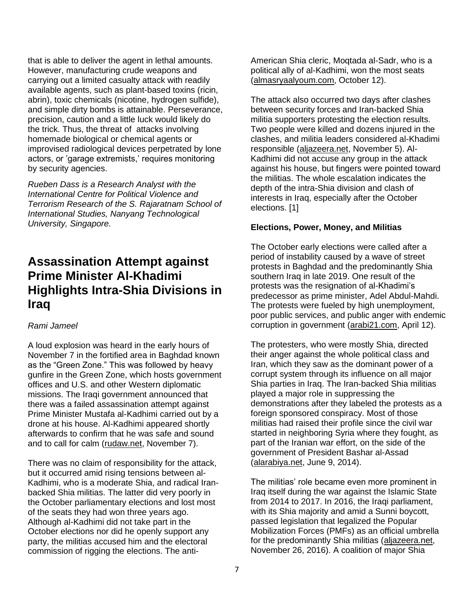that is able to deliver the agent in lethal amounts. However, manufacturing crude weapons and carrying out a limited casualty attack with readily available agents, such as plant-based toxins (ricin, abrin), toxic chemicals (nicotine, hydrogen sulfide), and simple dirty bombs is attainable. Perseverance, precision, caution and a little luck would likely do the trick. Thus, the threat of attacks involving homemade biological or chemical agents or improvised radiological devices perpetrated by lone actors, or 'garage extremists,' requires monitoring by security agencies.

*Rueben Dass is a Research Analyst with the International Centre for Political Violence and Terrorism Research of the S. Rajaratnam School of International Studies, Nanyang Technological University, Singapore.* 

# **Assassination Attempt against Prime Minister Al-Khadimi Highlights Intra-Shia Divisions in Iraq**

## *Rami Jameel*

A loud explosion was heard in the early hours of November 7 in the fortified area in Baghdad known as the "Green Zone." This was followed by heavy gunfire in the Green Zone, which hosts government offices and U.S. and other Western diplomatic missions. The Iraqi government announced that there was a failed assassination attempt against Prime Minister Mustafa al-Kadhimi carried out by a drone at his house. Al-Kadhimi appeared shortly afterwards to confirm that he was safe and sound and to call for calm [\(rudaw.net,](https://www.rudaw.net/arabic/middleeast/iraq/07112021) November 7).

There was no claim of responsibility for the attack, but it occurred amid rising tensions between al-Kadhimi, who is a moderate Shia, and radical Iranbacked Shia militias. The latter did very poorly in the October parliamentary elections and lost most of the seats they had won three years ago. Although al-Kadhimi did not take part in the October elections nor did he openly support any party, the militias accused him and the electoral commission of rigging the elections. The antiAmerican Shia cleric, Moqtada al-Sadr, who is a political ally of al-Kadhimi, won the most seats [\(almasryaalyoum.com,](https://www.almasryalyoum.com/news/details/2437621) October 12).

The attack also occurred two days after clashes between security forces and Iran-backed Shia militia supporters protesting the election results. Two people were killed and dozens injured in the clashes, and militia leaders considered al-Khadimi responsible [\(aljazeera.net,](https://www.aljazeera.net/news/politics/2021/11/5/%D8%AA%D8%AD%D8%B3%D8%A8%D8%A7-%D9%84%D8%A7%D9%86%D8%AF%D9%84%D8%A7%D8%B9-%D9%85%D8%B8%D8%A7%D9%87%D8%B1%D8%A7%D8%AA-%D9%82%D9%88%D8%A7%D8%AA-%D8%A7%D9%84%D8%A3%D9%85%D9%86) November 5). Al-Kadhimi did not accuse any group in the attack against his house, but fingers were pointed toward the militias. The whole escalation indicates the depth of the intra-Shia division and clash of interests in Iraq, especially after the October elections. [1]

#### **Elections, Power, Money, and Militias**

The October early elections were called after a period of instability caused by a wave of street protests in Baghdad and the predominantly Shia southern Iraq in late 2019. One result of the protests was the resignation of al-Khadimi's predecessor as prime minister, Adel Abdul-Mahdi. The protests were fueled by high unemployment, poor public services, and public anger with endemic corruption in government [\(arabi21.com,](https://arabi21.com/story/1350941/%D8%A7%D9%84%D8%B1%D8%A6%D9%8A%D8%B3-%D8%A7%D9%84%D8%B9%D8%B1%D8%A7%D9%82%D9%8A-%D9%8A%D8%B9%D9%84%D9%86-%D9%85%D9%88%D8%B9%D8%AF-%D8%A7%D9%84%D8%A7%D9%86%D8%AA%D8%AE%D8%A7%D8%A8%D8%A7%D8%AA-%D8%A7%D9%84%D9%86%D9%8A%D8%A7%D8%A8%D9%8A%D8%A9-%D8%A7%D9%84%D9%85%D8%A8%D9%83%D8%B1%D8%A9) April 12).

The protesters, who were mostly Shia, directed their anger against the whole political class and Iran, which they saw as the dominant power of a corrupt system through its influence on all major Shia parties in Iraq. The Iran-backed Shia militias played a major role in suppressing the demonstrations after they labeled the protests as a foreign sponsored conspiracy. Most of those militias had raised their profile since the civil war started in neighboring Syria where they fought, as part of the Iranian war effort, on the side of the government of President Bashar al-Assad [\(alarabiya.net,](https://www.alarabiya.net/arab-and-world/syria/2014/06/08/%D9%82%D8%A7%D8%A6%D9%85%D8%A9-%D8%A7%D9%84%D9%85%D9%8A%D9%84%D9%8A%D8%B4%D9%8A%D8%A7%D8%AA-%D8%A7%D9%84%D8%B4%D9%8A%D8%B9%D9%8A%D8%A9-%D8%A8%D8%B3%D9%88%D8%B1%D9%8A%D8%A7-%D8%A7%D9%84%D8%AD%D9%83%D8%A7%D9%8A%D8%A9-%D8%A8%D8%A7%D9%84%D8%AF%D9%85%D8%A7%D8%A1-%D9%88%D8%A7%D9%84%D8%A3%D8%B1%D9%82%D8%A7%D9%85) June 9, 2014).

The militias' role became even more prominent in Iraq itself during the war against the Islamic State from 2014 to 2017. In 2016, the Iraqi parliament, with its Shia majority and amid a Sunni boycott, passed legislation that legalized the Popular Mobilization Forces (PMFs) as an official umbrella for the predominantly Shia militias [\(aljazeera.net,](https://www.aljazeera.net/news/arabic/2016/11/26/%D8%A8%D8%B1%D9%84%D9%85%D8%A7%D9%86-%D8%A7%D9%84%D8%B9%D8%B1%D8%A7%D9%82-%D9%8A%D9%82%D8%B1-%D9%82%D8%A7%D9%86%D9%88%D9%86-%D8%A7%D9%84%D8%AD%D8%B4%D8%AF-%D8%A7%D9%84%D8%B4%D8%B9%D8%A8%D9%8A) November 26, 2016). A coalition of major Shia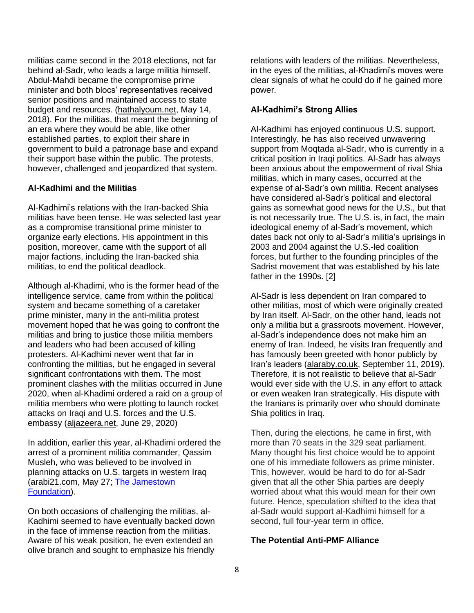militias came second in the 2018 elections, not far behind al-Sadr, who leads a large militia himself. Abdul-Mahdi became the compromise prime minister and both blocs' representatives received senior positions and maintained access to state budget and resources. [\(hathalyoum.net,](https://hathalyoum.net/articles/1554566-%D9%86%D8%AA%D8%A7%D8%A6%D8%AC-%D8%A7%D9%86%D8%AA%D8%AE%D8%A7%D8%A8%D8%A7%D8%AA-%D8%A7%D9%84%D8%B9%D8%B1%D8%A7%D9%82-2018-%D9%81%D9%8A-%D9%83%D9%84-) May 14, 2018). For the militias, that meant the beginning of an era where they would be able, like other established parties, to exploit their share in government to build a patronage base and expand their support base within the public. The protests, however, challenged and jeopardized that system.

#### **Al-Kadhimi and the Militias**

Al-Kadhimi's relations with the Iran-backed Shia militias have been tense. He was selected last year as a compromise transitional prime minister to organize early elections. His appointment in this position, moreover, came with the support of all major factions, including the Iran-backed shia militias, to end the political deadlock.

Although al-Khadimi, who is the former head of the intelligence service, came from within the political system and became something of a caretaker prime minister, many in the anti-militia protest movement hoped that he was going to confront the militias and bring to justice those militia members and leaders who had been accused of killing protesters. Al-Kadhimi never went that far in confronting the militias, but he engaged in several significant confrontations with them. The most prominent clashes with the militias occurred in June 2020, when al-Khadimi ordered a raid on a group of militia members who were plotting to launch rocket attacks on Iraqi and U.S. forces and the U.S. embassy [\(aljazeera.net,](https://www.aljazeera.net/news/politics/2020/6/29/%D8%AD%D8%B2%D8%A8-%D8%A7%D9%84%D9%84%D9%87-%D8%A7%D9%84%D8%B9%D8%B1%D8%A7%D9%82%D9%8A-%D9%8A%D8%AA%D9%88%D8%B9%D8%AF-%D8%A8%D9%85%D9%82%D8%A7%D8%B6%D8%A7%D8%A9) June 29, 2020)

In addition, earlier this year, al-Khadimi ordered the arrest of a prominent militia commander, Qassim Musleh, who was believed to be involved in planning attacks on U.S. targets in western Iraq [\(arabi21.com,](https://arabi21.com/story/1361151/%D8%B5%D9%8A%D8%AF-%D8%AB%D9%85%D9%8A%D9%86-%D9%85%D8%A7%D8%B0%D8%A7-%D9%88%D8%B1%D8%A7%D8%A1-%D8%A7%D8%B9%D8%AA%D9%82%D8%A7%D9%84-%D9%82%D8%A7%D8%A6%D8%AF-%D8%A7%D9%84%D8%AD%D8%B4%D8%AF-%D8%A7%D9%84%D8%B4%D8%B9%D8%A8%D9%8A-%D9%81%D9%8A-%D8%A7%D9%84%D8%A3%D9%86%D8%A8%D8%A7%D8%B1) May 27; [The Jamestown](https://jamestown.org/program/arrested-and-released-a-profile-of-iranian-backed-militia-commander-qassim-musleh/)  [Foundation\)](https://jamestown.org/program/arrested-and-released-a-profile-of-iranian-backed-militia-commander-qassim-musleh/).

On both occasions of challenging the militias, al-Kadhimi seemed to have eventually backed down in the face of immense reaction from the militias. Aware of his weak position, he even extended an olive branch and sought to emphasize his friendly

relations with leaders of the militias. Nevertheless, in the eyes of the militias, al-Khadimi's moves were clear signals of what he could do if he gained more power.

#### **Al-Kadhimi's Strong Allies**

Al-Kadhimi has enjoyed continuous U.S. support. Interestingly, he has also received unwavering support from Moqtada al-Sadr, who is currently in a critical position in Iraqi politics. Al-Sadr has always been anxious about the empowerment of rival Shia militias, which in many cases, occurred at the expense of al-Sadr's own militia. Recent analyses have considered al-Sadr's political and electoral gains as somewhat good news for the U.S., but that is not necessarily true. The U.S. is, in fact, the main ideological enemy of al-Sadr's movement, which dates back not only to al-Sadr's militia's uprisings in 2003 and 2004 against the U.S.-led coalition forces, but further to the founding principles of the Sadrist movement that was established by his late father in the 1990s. [2]

Al-Sadr is less dependent on Iran compared to other militias, most of which were originally created by Iran itself. Al-Sadr, on the other hand, leads not only a militia but a grassroots movement. However, al-Sadr's independence does not make him an enemy of Iran. Indeed, he visits Iran frequently and has famously been greeted with honor publicly by Iran's leaders [\(alaraby.co.uk,](https://www.alaraby.co.uk/%D8%B5%D9%88%D8%B1%D8%A9-%D8%A7%D9%84%D8%B5%D8%AF%D8%B1-%D8%A8%D8%B1%D9%81%D9%82%D8%A9-%D8%AE%D8%A7%D9%85%D9%86%D8%A6%D9%8A-%D9%88%D8%B3%D9%84%D9%8A%D9%85%D8%A7%D9%86%D9%8A-%D8%AA%D9%81%D8%AC%D9%91%D8%B1-%D8%AC%D8%AF%D9%84%D8%A7%D9%8B-%D9%81%D9%8A-%D8%A7%D9%84%D8%B9%D8%B1%D8%A7%D9%82) September 11, 2019). Therefore, it is not realistic to believe that al-Sadr would ever side with the U.S. in any effort to attack or even weaken Iran strategically. His dispute with the Iranians is primarily over who should dominate Shia politics in Iraq.

Then, during the elections, he came in first, with more than 70 seats in the 329 seat parliament. Many thought his first choice would be to appoint one of his immediate followers as prime minister. This, however, would be hard to do for al-Sadr given that all the other Shia parties are deeply worried about what this would mean for their own future. Hence, speculation shifted to the idea that al-Sadr would support al-Kadhimi himself for a second, full four-year term in office.

#### **The Potential Anti-PMF Alliance**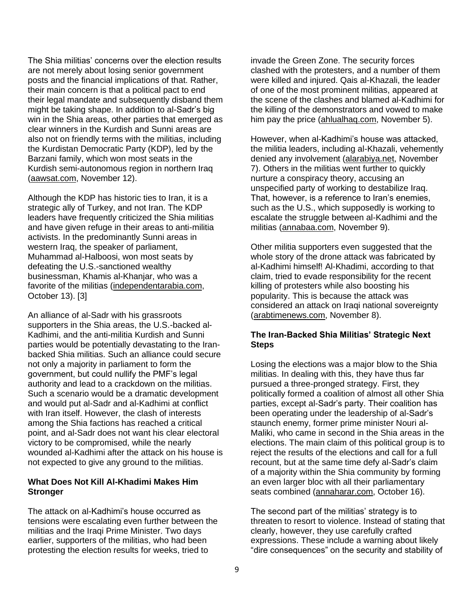The Shia militias' concerns over the election results are not merely about losing senior government posts and the financial implications of that. Rather, their main concern is that a political pact to end their legal mandate and subsequently disband them might be taking shape. In addition to al-Sadr's big win in the Shia areas, other parties that emerged as clear winners in the Kurdish and Sunni areas are also not on friendly terms with the militias, including the Kurdistan Democratic Party (KDP), led by the Barzani family, which won most seats in the Kurdish semi-autonomous region in northern Iraq [\(aawsat.com,](https://aawsat.com/home/article/3240771/) November 12).

Although the KDP has historic ties to Iran, it is a strategic ally of Turkey, and not Iran. The KDP leaders have frequently criticized the Shia militias and have given refuge in their areas to anti-militia activists. In the predominantly Sunni areas in western Iraq, the speaker of parliament, Muhammad al-Halboosi, won most seats by defeating the U.S.-sanctioned wealthy businessman, Khamis al-Khanjar, who was a favorite of the militias [\(independentarabia.com,](https://www.independentarabia.com/node/267406/%D8%B3%D9%8A%D8%A7%D8%B3%D8%A9/%D8%AA%D9%82%D8%A7%D8%B1%D9%8A%D8%B1/%D9%85%D8%A7-%D9%85%D8%AA%D8%BA%D9%8A%D8%B1%D8%A7%D8%AA-%D8%A7%D9%84%D9%85%D8%B4%D9%87%D8%AF-%D8%A7%D9%84%D8%B3%D9%86%D9%8A-%D9%81%D9%8A-%D8%A7%D9%84%D8%A7%D9%86%D8%AA%D8%AE%D8%A7%D8%A8%D8%A7%D8%AA-%D8%A7%D9%84%D8%B9%D8%B1%D8%A7%D9%82%D9%8A%D8%A9%D8%9F) October 13). [3]

An alliance of al-Sadr with his grassroots supporters in the Shia areas, the U.S.-backed al-Kadhimi, and the anti-militia Kurdish and Sunni parties would be potentially devastating to the Iranbacked Shia militias. Such an alliance could secure not only a majority in parliament to form the government, but could nullify the PMF's legal authority and lead to a crackdown on the militias. Such a scenario would be a dramatic development and would put al-Sadr and al-Kadhimi at conflict with Iran itself. However, the clash of interests among the Shia factions has reached a critical point, and al-Sadr does not want his clear electoral victory to be compromised, while the nearly wounded al-Kadhimi after the attack on his house is not expected to give any ground to the militias.

#### **What Does Not Kill Al-Khadimi Makes Him Stronger**

The attack on al-Kadhimi's house occurred as tensions were escalating even further between the militias and the Iraqi Prime Minister. Two days earlier, supporters of the militias, who had been protesting the election results for weeks, tried to

invade the Green Zone. The security forces clashed with the protesters, and a number of them were killed and injured. Qais al-Khazali, the leader of one of the most prominent militias, appeared at the scene of the clashes and blamed al-Kadhimi for the killing of the demonstrators and vowed to make him pay the price [\(ahlualhaq.com,](https://ahlualhaq.com/post/18432/%D8%A7%D9%84%D8%B4%D9%8A%D8%AE-%D8%A7%D9%84%D8%AE%D8%B2%D8%B9%D9%84%D9%8A-%D9%8A%D8%AD%D9%85%D9%84-%D8%A7%D9%84%D9%83%D8%A7%D8%B8%D9%85%D9%8A-%D9%85%D8%B3%D8%A4%D9%88%D9%84%D9%8A%D8%A9-%D8%AC%D8%B1/) November 5).

However, when al-Kadhimi's house was attacked, the militia leaders, including al-Khazali, vehemently denied any involvement [\(alarabiya.net,](https://www.alarabiya.net/arab-and-world/iraq/2021/11/07/%D9%81%D8%B5%D8%A7%D8%A6%D9%84-%D8%A7%D9%84%D8%AD%D8%B4%D8%AF-%D8%AA%D8%AA%D9%86%D8%B5%D9%84-%D9%85%D9%86-%D8%A7%D8%BA%D8%AA%D9%8A%D8%A7%D9%84-%D8%A7%D9%84%D9%83%D8%A7%D8%B8%D9%85%D9%8A-%D9%88%D9%81%D9%8A%D8%AF%D9%8A%D9%88%D9%87%D8%A7%D8%AA-%D8%AA%D8%AF%D9%8A%D9%86%D9%87%D8%A7) November 7). Others in the militias went further to quickly nurture a conspiracy theory, accusing an unspecified party of working to destabilize Iraq. That, however, is a reference to Iran's enemies, such as the U.S., which supposedly is working to escalate the struggle between al-Kadhimi and the militias [\(annabaa.com,](https://annabaa.org/arabic/authorsarticles/29070) November 9).

Other militia supporters even suggested that the whole story of the drone attack was fabricated by al-Kadhimi himself! Al-Khadimi, according to that claim, tried to evade responsibility for the recent killing of protesters while also boosting his popularity. This is because the attack was considered an attack on Iraqi national sovereignty [\(arabtimenews.com,](https://www.arabtimenews.com/2021/11/08/%D9%85%D9%81%D8%A8%D8%B1%D9%83%D8%A9-%D8%A3%D9%85-%D8%AD%D9%82%D9%8A%D9%82%D9%8A%D8%A9-%D8%B9%D9%85%D9%84%D9%8A%D8%A9-%D8%A7%D8%BA%D8%AA%D9%8A%D8%A7%D9%84-%D8%A7%D9%84%D9%83%D8%A7%D8%B8%D9%85%D9%8A/) November 8).

## **The Iran-Backed Shia Militias' Strategic Next Steps**

Losing the elections was a major blow to the Shia militias. In dealing with this, they have thus far pursued a three-pronged strategy. First, they politically formed a coalition of almost all other Shia parties, except al-Sadr's party. Their coalition has been operating under the leadership of al-Sadr's staunch enemy, former prime minister Nouri al-Maliki, who came in second in the Shia areas in the elections. The main claim of this political group is to reject the results of the elections and call for a full recount, but at the same time defy al-Sadr's claim of a majority within the Shia community by forming an even larger bloc with all their parliamentary seats combined [\(annaharar.com,](https://www.annaharar.com/arabic/push-notification/16102021072410572) October 16).

The second part of the militias' strategy is to threaten to resort to violence. Instead of stating that clearly, however, they use carefully crafted expressions. These include a warning about likely "dire consequences" on the security and stability of